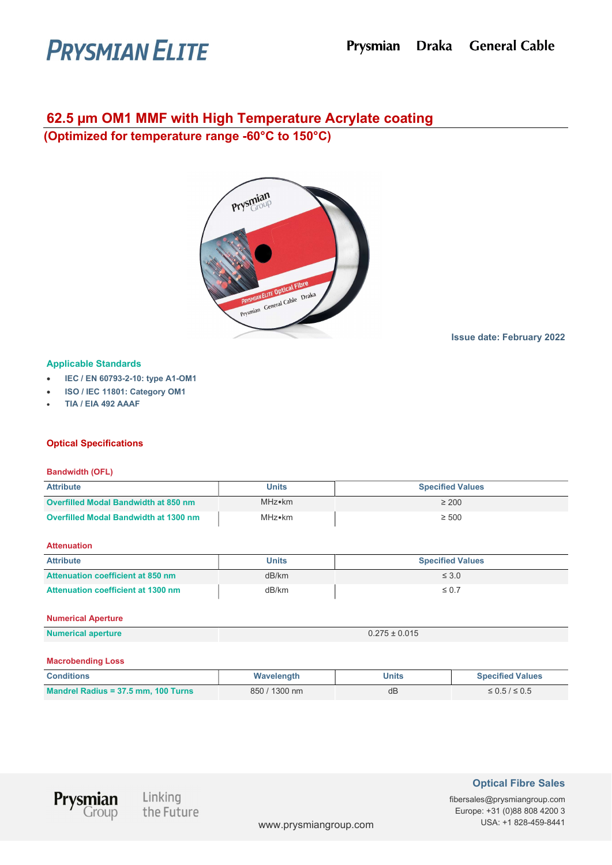# **PRYSMIAN ELITE**

# 62.5 µm OM1 MMF with High Temperature Acrylate coating

(Optimized for temperature range -60°C to 150°C)



# Issue date: February 2022

# Applicable Standards

- IEC / EN 60793-2-10: type A1-OM1
- ISO / IEC 11801: Category OM1
- TIA / EIA 492 AAAF

# Optical Specifications

## Bandwidth (OFL)

| <b>Attribute</b>                            | <b>Units</b> | <b>Specified Values</b> |
|---------------------------------------------|--------------|-------------------------|
| <b>Overfilled Modal Bandwidth at 850 nm</b> | MHz•km       | $\geq 200$              |
| Overfilled Modal Bandwidth at 1300 nm       | MHz•km       | $\geq 500$              |

#### **Attenuation**

| <b>Attribute</b>                   | <b>Units</b> | <b>Specified Values</b> |
|------------------------------------|--------------|-------------------------|
| Attenuation coefficient at 850 nm  | dB/km        | $\leq 3.0$              |
| Attenuation coefficient at 1300 nm | dB/km        | $\leq 0.7$              |

#### Numerical Aperture

| <b>Numerical aperture</b> | ± 0.015<br>0.27<br>∪.∠ / ວ ± |
|---------------------------|------------------------------|

#### Macrobending Loss

| <b>Conditions</b>                   | Wavelength    | Units | <b>Specified Values</b> |
|-------------------------------------|---------------|-------|-------------------------|
| Mandrel Radius = 37.5 mm, 100 Turns | 850 / 1300 nm | dB    | $\leq 0.5 / \leq 0.5$   |



Linking the Future

# Optical Fibre Sales

fibersales@prysmiangroup.com Europe: +31 (0)88 808 4200 3 www.prysmiangroup.com USA: +1 828-459-8441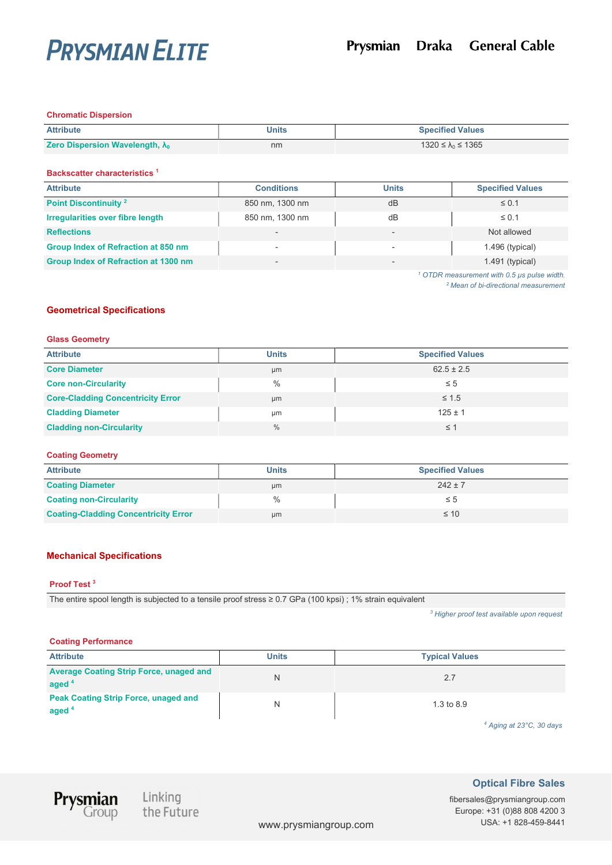

#### Chromatic Dispersion

| <b>Attribute</b>                        | <b>Units</b> | <b>Specified Values</b>   |
|-----------------------------------------|--------------|---------------------------|
| Zero Dispersion Wavelength, $\lambda_0$ | nm           | 1320 ≤ $\lambda_0$ ≤ 1365 |

Backscatter characteristics <sup>1</sup>

| <b>Attribute</b>                        | <b>Conditions</b> | <b>Units</b> | <b>Specified Values</b>                                |
|-----------------------------------------|-------------------|--------------|--------------------------------------------------------|
| Point Discontinuity <sup>2</sup>        | 850 nm, 1300 nm   | dB           | $\leq 0.1$                                             |
| <b>Irregularities over fibre length</b> | 850 nm, 1300 nm   | dB           | $\leq 0.1$                                             |
| <b>Reflections</b>                      |                   |              | Not allowed                                            |
| Group Index of Refraction at 850 nm     | -                 |              | $1.496$ (typical)                                      |
| Group Index of Refraction at 1300 nm    | -                 |              | $1.491$ (typical)                                      |
|                                         |                   |              | <sup>1</sup> OTDR measurement with 0.5 us pulse width. |

<sup>2</sup> Mean of bi-directional measurement

# Geometrical Specifications

#### Glass Geometry

| <b>Attribute</b>                         | <b>Units</b>  | <b>Specified Values</b> |
|------------------------------------------|---------------|-------------------------|
| <b>Core Diameter</b>                     | µm            | $62.5 \pm 2.5$          |
| <b>Core non-Circularity</b>              | $\%$          | $\leq 5$                |
| <b>Core-Cladding Concentricity Error</b> | µm            | $\leq 1.5$              |
| <b>Cladding Diameter</b>                 | μm            | $125 \pm 1$             |
| <b>Cladding non-Circularity</b>          | $\frac{0}{0}$ | $\leq$ 1                |

## Coating Geometry

| <b>Attribute</b>                            | <b>Units</b> | <b>Specified Values</b> |
|---------------------------------------------|--------------|-------------------------|
| <b>Coating Diameter</b>                     | μm           | $242 \pm 7$             |
| <b>Coating non-Circularity</b>              | $\%$         | ≤ 5                     |
| <b>Coating-Cladding Concentricity Error</b> | µm           | $\leq 10$               |

# Mechanical Specifications

#### Proof Test <sup>3</sup>

The entire spool length is subjected to a tensile proof stress ≥ 0.7 GPa (100 kpsi) ; 1% strain equivalent

<sup>3</sup> Higher proof test available upon request

# Coating Performance

| <b>Attribute</b>                                                 | <b>Units</b> | <b>Typical Values</b> |
|------------------------------------------------------------------|--------------|-----------------------|
| <b>Average Coating Strip Force, unaged and</b><br>aged $4$       |              | 2.7                   |
| <b>Peak Coating Strip Force, unaged and</b><br>aged <sup>4</sup> |              | 1.3 to 8.9            |

4 Aging at 23°C, 30 days



Linking<br>the Future

Optical Fibre Sales

fibersales@prysmiangroup.com Europe: +31 (0)88 808 4200 3 www.prysmiangroup.com USA: +1 828-459-8441